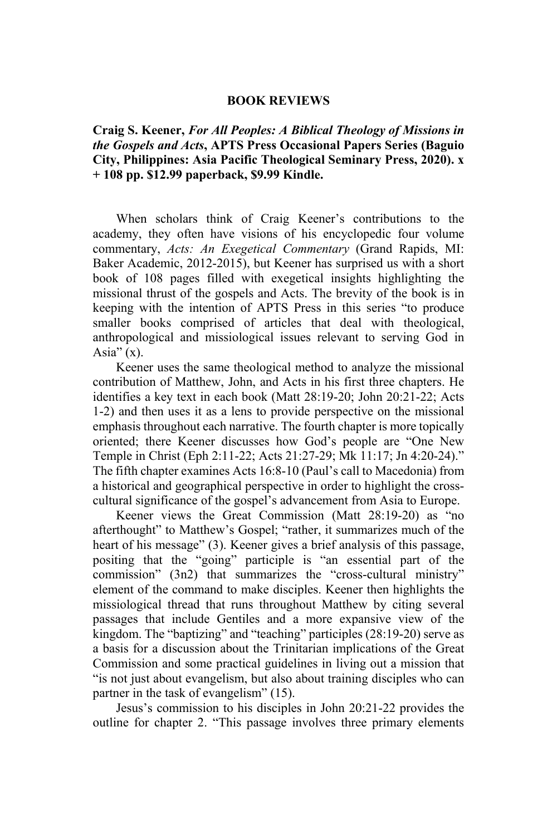## **BOOK REVIEWS**

**Craig S. Keener,** *For All Peoples: A Biblical Theology of Missions in the Gospels and Acts***, APTS Press Occasional Papers Series (Baguio City, Philippines: Asia Pacific Theological Seminary Press, 2020). x + 108 pp. \$12.99 paperback, \$9.99 Kindle.** 

When scholars think of Craig Keener's contributions to the academy, they often have visions of his encyclopedic four volume commentary, *Acts: An Exegetical Commentary* (Grand Rapids, MI: Baker Academic, 2012-2015), but Keener has surprised us with a short book of 108 pages filled with exegetical insights highlighting the missional thrust of the gospels and Acts. The brevity of the book is in keeping with the intention of APTS Press in this series "to produce smaller books comprised of articles that deal with theological, anthropological and missiological issues relevant to serving God in Asia" $(x)$ .

Keener uses the same theological method to analyze the missional contribution of Matthew, John, and Acts in his first three chapters. He identifies a key text in each book (Matt 28:19-20; John 20:21-22; Acts 1-2) and then uses it as a lens to provide perspective on the missional emphasis throughout each narrative. The fourth chapter is more topically oriented; there Keener discusses how God's people are "One New Temple in Christ (Eph 2:11-22; Acts 21:27-29; Mk 11:17; Jn 4:20-24)." The fifth chapter examines Acts 16:8-10 (Paul's call to Macedonia) from a historical and geographical perspective in order to highlight the crosscultural significance of the gospel's advancement from Asia to Europe.

Keener views the Great Commission (Matt 28:19-20) as "no afterthought" to Matthew's Gospel; "rather, it summarizes much of the heart of his message" (3). Keener gives a brief analysis of this passage, positing that the "going" participle is "an essential part of the commission" (3n2) that summarizes the "cross-cultural ministry" element of the command to make disciples. Keener then highlights the missiological thread that runs throughout Matthew by citing several passages that include Gentiles and a more expansive view of the kingdom. The "baptizing" and "teaching" participles (28:19-20) serve as a basis for a discussion about the Trinitarian implications of the Great Commission and some practical guidelines in living out a mission that "is not just about evangelism, but also about training disciples who can partner in the task of evangelism" (15).

Jesus's commission to his disciples in John 20:21-22 provides the outline for chapter 2. "This passage involves three primary elements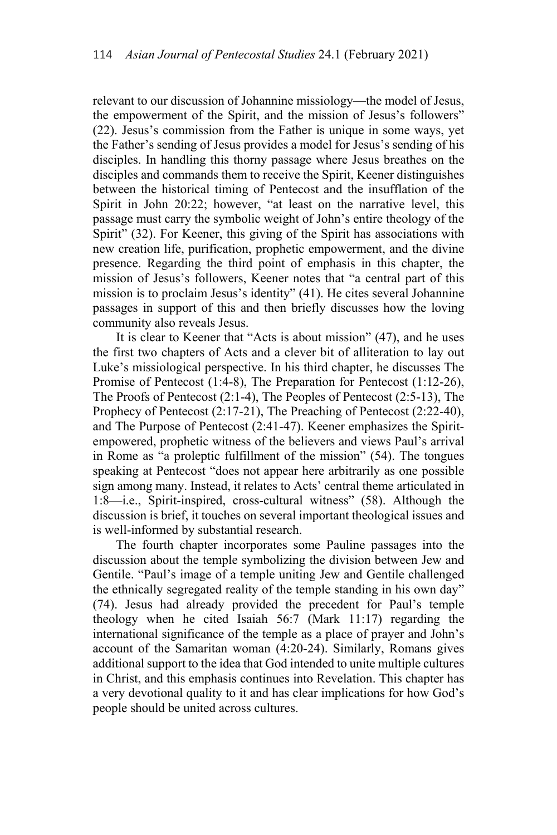relevant to our discussion of Johannine missiology—the model of Jesus, the empowerment of the Spirit, and the mission of Jesus's followers" (22). Jesus's commission from the Father is unique in some ways, yet the Father's sending of Jesus provides a model for Jesus's sending of his disciples. In handling this thorny passage where Jesus breathes on the disciples and commands them to receive the Spirit, Keener distinguishes between the historical timing of Pentecost and the insufflation of the Spirit in John 20:22; however, "at least on the narrative level, this passage must carry the symbolic weight of John's entire theology of the Spirit" (32). For Keener, this giving of the Spirit has associations with new creation life, purification, prophetic empowerment, and the divine presence. Regarding the third point of emphasis in this chapter, the mission of Jesus's followers, Keener notes that "a central part of this mission is to proclaim Jesus's identity" (41). He cites several Johannine passages in support of this and then briefly discusses how the loving community also reveals Jesus.

It is clear to Keener that "Acts is about mission" (47), and he uses the first two chapters of Acts and a clever bit of alliteration to lay out Luke's missiological perspective. In his third chapter, he discusses The Promise of Pentecost (1:4-8), The Preparation for Pentecost (1:12-26), The Proofs of Pentecost (2:1-4), The Peoples of Pentecost (2:5-13), The Prophecy of Pentecost (2:17-21), The Preaching of Pentecost (2:22-40), and The Purpose of Pentecost (2:41-47). Keener emphasizes the Spiritempowered, prophetic witness of the believers and views Paul's arrival in Rome as "a proleptic fulfillment of the mission" (54). The tongues speaking at Pentecost "does not appear here arbitrarily as one possible sign among many. Instead, it relates to Acts' central theme articulated in 1:8—i.e., Spirit-inspired, cross-cultural witness" (58). Although the discussion is brief, it touches on several important theological issues and is well-informed by substantial research.

The fourth chapter incorporates some Pauline passages into the discussion about the temple symbolizing the division between Jew and Gentile. "Paul's image of a temple uniting Jew and Gentile challenged the ethnically segregated reality of the temple standing in his own day" (74). Jesus had already provided the precedent for Paul's temple theology when he cited Isaiah 56:7 (Mark 11:17) regarding the international significance of the temple as a place of prayer and John's account of the Samaritan woman (4:20-24). Similarly, Romans gives additional support to the idea that God intended to unite multiple cultures in Christ, and this emphasis continues into Revelation. This chapter has a very devotional quality to it and has clear implications for how God's people should be united across cultures.